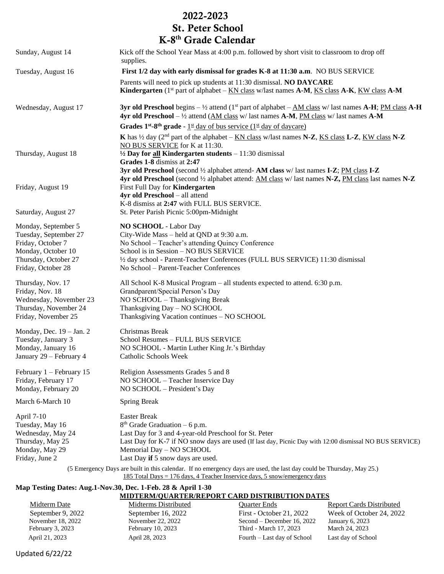## 2022-2023 St. Peter School K-8 th Grade Calendar

| Sunday, August 14                                                                                                                     | Kick off the School Year Mass at 4:00 p.m. followed by short visit to classroom to drop off<br>supplies.                                                                                                                                                                                                                                                                                                                          |
|---------------------------------------------------------------------------------------------------------------------------------------|-----------------------------------------------------------------------------------------------------------------------------------------------------------------------------------------------------------------------------------------------------------------------------------------------------------------------------------------------------------------------------------------------------------------------------------|
| Tuesday, August 16                                                                                                                    | First 1/2 day with early dismissal for grades K-8 at 11:30 a.m. NO BUS SERVICE                                                                                                                                                                                                                                                                                                                                                    |
|                                                                                                                                       | Parents will need to pick up students at 11:30 dismissal. NO DAYCARE<br><b>Kindergarten</b> (1 <sup>st</sup> part of alphabet – $KN$ class w/last names $A-M$ , $KS$ class $A-K$ , $KW$ class $A-M$                                                                                                                                                                                                                               |
| Wednesday, August 17                                                                                                                  | <b>3yr old Preschool</b> begins $-\frac{1}{2}$ attend (1 <sup>st</sup> part of alphabet $-\underline{AM}$ class w/ last names <b>A-H</b> ; PM class <b>A-H</b><br>4yr old Preschool – $\frac{1}{2}$ attend (AM class w/ last names A-M, PM class w/ last names A-M                                                                                                                                                                |
| Thursday, August 18                                                                                                                   | <b>Grades 1st-8th grade</b> - 1st day of bus service (1st day of daycare)<br>K has $\frac{1}{2}$ day (2 <sup>nd</sup> part of the alphabet – KN class w/last names N-Z, KS class L-Z, KW class N-Z<br>NO BUS SERVICE for K at 11:30.<br>$\frac{1}{2}$ Day for all Kindergarten students – 11:30 dismissal<br>Grades 1-8 dismiss at 2:47<br>3yr old Preschool (second 1/2 alphabet attend-AM class w/ last names I-Z; PM class I-Z |
| Friday, August 19                                                                                                                     | 4yr old Preschool (second 1/2 alphabet attend: AM class w/ last names N-Z, PM class last names N-Z<br>First Full Day for <b>Kindergarten</b><br>4yr old Preschool - all attend<br>K-8 dismiss at 2:47 with FULL BUS SERVICE.                                                                                                                                                                                                      |
| Saturday, August 27                                                                                                                   | St. Peter Parish Picnic 5:00pm-Midnight                                                                                                                                                                                                                                                                                                                                                                                           |
| Monday, September 5<br>Tuesday, September 27<br>Friday, October 7<br>Monday, October 10<br>Thursday, October 27<br>Friday, October 28 | NO SCHOOL - Labor Day<br>City-Wide Mass - held at QND at 9:30 a.m.<br>No School - Teacher's attending Quincy Conference<br>School is in Session - NO BUS SERVICE<br>1/2 day school - Parent-Teacher Conferences (FULL BUS SERVICE) 11:30 dismissal<br>No School - Parent-Teacher Conferences                                                                                                                                      |
| Thursday, Nov. 17<br>Friday, Nov. 18<br>Wednesday, November 23<br>Thursday, November 24<br>Friday, November 25                        | All School K-8 Musical Program – all students expected to attend. 6:30 p.m.<br>Grandparent/Special Person's Day<br>NO SCHOOL - Thanksgiving Break<br>Thanksgiving Day - NO SCHOOL<br>Thanksgiving Vacation continues - NO SCHOOL                                                                                                                                                                                                  |
| Monday, Dec. $19 - Jan. 2$<br>Tuesday, January 3<br>Monday, January 16<br>January 29 - February 4                                     | Christmas Break<br>School Resumes - FULL BUS SERVICE<br>NO SCHOOL - Martin Luther King Jr.'s Birthday<br>Catholic Schools Week                                                                                                                                                                                                                                                                                                    |
| February 1 - February 15<br>Friday, February 17<br>Monday, February 20                                                                | Religion Assessments Grades 5 and 8<br>NO SCHOOL - Teacher Inservice Day<br>NO SCHOOL - President's Day                                                                                                                                                                                                                                                                                                                           |
| March 6-March 10                                                                                                                      | <b>Spring Break</b>                                                                                                                                                                                                                                                                                                                                                                                                               |
| April 7-10<br>Tuesday, May 16<br>Wednesday, May 24<br>Thursday, May 25<br>Monday, May 29<br>Friday, June 2                            | <b>Easter Break</b><br>$8th$ Grade Graduation – 6 p.m.<br>Last Day for 3 and 4-year-old Preschool for St. Peter<br>Last Day for K-7 if NO snow days are used (If last day, Picnic Day with 12:00 dismissal NO BUS SERVICE)<br>Memorial Day - NO SCHOOL<br>Last Day if 5 snow days are used.                                                                                                                                       |

(5 Emergency Days are built in this calendar. If no emergency days are used, the last day could be Thursday, May 25.) 185 Total Days = 176 days, 4 Teacher Inservice days, 5 snow/emergency days

## **Map Testing Dates: Aug.1-Nov.30, Dec. 1-Feb. 28 & April 1-30 MIDTERM/QUARTER/REPORT CARD DISTRIBUTION DATES**

Midterm Date Midterms Distributed Quarter Ends Report Cards Distributed

 September 9, 2022 September 16, 2022 First - October 21, 2022 Week of October 24, 2022 November 18, 2022 November 22, 2022 Second – December 16, 2022 January 6, 2023 February 3, 2023 February 10, 2023 Third - March 17, 2023 March 24, 2023 April 21, 2023 April 28, 2023 Fourth – Last day of School Last day of School